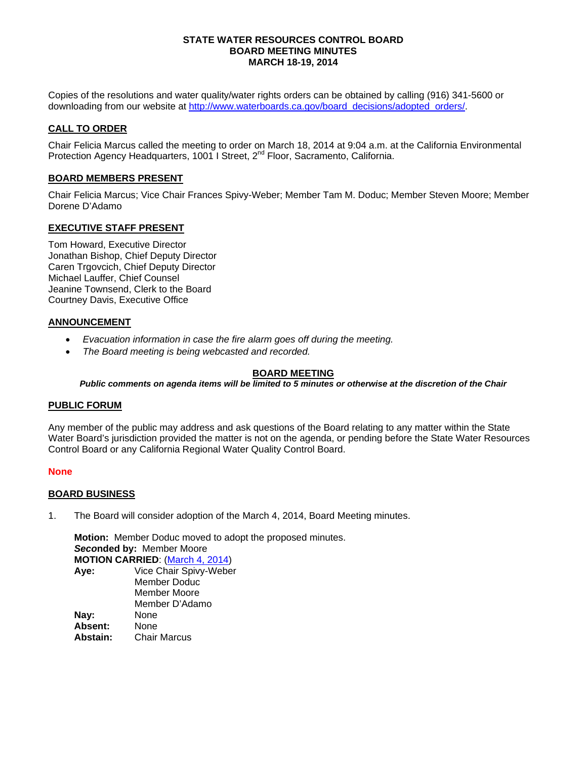### **STATE WATER RESOURCES CONTROL BOARD BOARD MEETING MINUTES MARCH 18-19, 2014**

Copies of the resolutions and water quality/water rights orders can be obtained by calling (916) 341-5600 or downloading from our website at [http://www.waterboards.ca.gov/board\\_decisions/adopted\\_orders/.](http://www.waterboards.ca.gov/board_decisions/adopted_orders/)

## **CALL TO ORDER**

Chair Felicia Marcus called the meeting to order on March 18, 2014 at 9:04 a.m. at the California Environmental Protection Agency Headquarters, 1001 I Street, 2<sup>nd</sup> Floor, Sacramento, California.

## **BOARD MEMBERS PRESENT**

Chair Felicia Marcus; Vice Chair Frances Spivy-Weber; Member Tam M. Doduc; Member Steven Moore; Member Dorene D'Adamo

## **EXECUTIVE STAFF PRESENT**

Tom Howard, Executive Director Jonathan Bishop, Chief Deputy Director Caren Trgovcich, Chief Deputy Director Michael Lauffer, Chief Counsel Jeanine Townsend, Clerk to the Board Courtney Davis, Executive Office

## **ANNOUNCEMENT**

- *Evacuation information in case the fire alarm goes off during the meeting.*
- *The Board meeting is being webcasted and recorded.*

## **BOARD MEETING**

*Public comments on agenda items will be limited to 5 minutes or otherwise at the discretion of the Chair*

### **PUBLIC FORUM**

Any member of the public may address and ask questions of the Board relating to any matter within the State Water Board's jurisdiction provided the matter is not on the agenda, or pending before the State Water Resources Control Board or any California Regional Water Quality Control Board.

### **None**

### **BOARD BUSINESS**

1. The Board will consider adoption of the March 4, 2014, Board Meeting minutes.

**Motion:** Member Doduc moved to adopt the proposed minutes. *Seco***nded by:** Member Moore **MOTION CARRIED**: [\(March](http://www.waterboards.ca.gov/board_info/minutes/2014/mar/030414mins.pdf) 4, 2014)

**Aye:** Vice Chair Spivy-Weber Member Doduc Member Moore Member D'Adamo **Nay:** None **Absent:** None<br>**Abstain:** Chair **Abstain:** Chair Marcus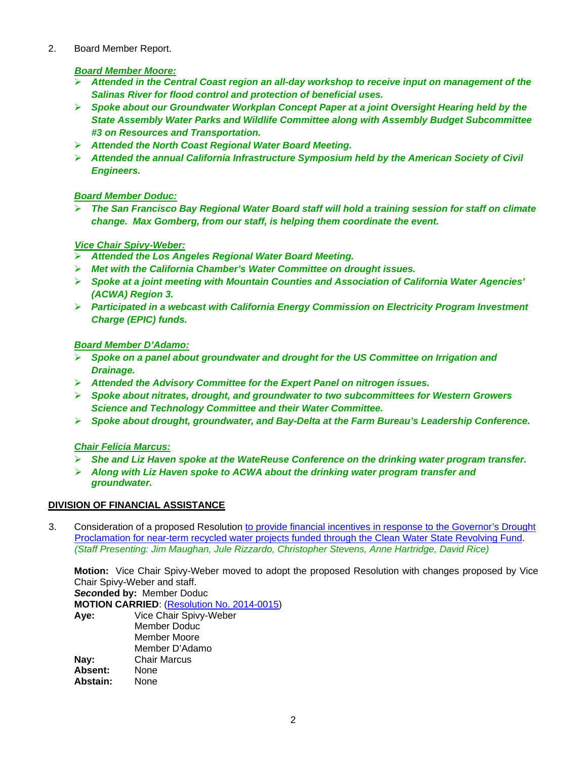2. Board Member Report.

# *Board Member Moore:*

- *Attended in the Central Coast region an all-day workshop to receive input on management of the Salinas River for flood control and protection of beneficial uses.*
- *Spoke about our Groundwater Workplan Concept Paper at a joint Oversight Hearing held by the State Assembly Water Parks and Wildlife Committee along with Assembly Budget Subcommittee #3 on Resources and Transportation.*
- *Attended the North Coast Regional Water Board Meeting.*
- *Attended the annual California Infrastructure Symposium held by the American Society of Civil Engineers.*

# *Board Member Doduc:*

 *The San Francisco Bay Regional Water Board staff will hold a training session for staff on climate change. Max Gomberg, from our staff, is helping them coordinate the event.*

# *Vice Chair Spivy-Weber:*

- *Attended the Los Angeles Regional Water Board Meeting.*
- *Met with the California Chamber's Water Committee on drought issues.*
- *Spoke at a joint meeting with Mountain Counties and Association of California Water Agencies' (ACWA) Region 3.*
- *Participated in a webcast with California Energy Commission on Electricity Program Investment Charge (EPIC) funds.*

# *Board Member D'Adamo:*

- *Spoke on a panel about groundwater and drought for the US Committee on Irrigation and Drainage.*
- *Attended the Advisory Committee for the Expert Panel on nitrogen issues.*
- *Spoke about nitrates, drought, and groundwater to two subcommittees for Western Growers Science and Technology Committee and their Water Committee.*
- *Spoke about drought, groundwater, and Bay-Delta at the Farm Bureau's Leadership Conference.*

# *Chair Felicia Marcus:*

- *She and Liz Haven spoke at the WateReuse Conference on the drinking water program transfer.*
- *Along with Liz Haven spoke to ACWA about the drinking water program transfer and groundwater.*

# **DIVISION OF FINANCIAL ASSISTANCE**

3. Consideration of a proposed Resolution [to provide financial incentives in response to the Governor's Drought](http://www.waterboards.ca.gov/board_info/agendas/2014/mar/031814_3_with_draft_res.pdf)  [Proclamation for near-term recycled water projects funded through the Clean Water State Revolving Fund.](http://www.waterboards.ca.gov/board_info/agendas/2014/mar/031814_3_with_draft_res.pdf) *(Staff Presenting: Jim Maughan, Jule Rizzardo, Christopher Stevens, Anne Hartridge, David Rice)*

**Motion:** Vice Chair Spivy-Weber moved to adopt the proposed Resolution with changes proposed by Vice Chair Spivy-Weber and staff. *Seco***nded by:** Member Doduc

**MOTION CARRIED**: [\(Resolution No.](http://www.waterboards.ca.gov/board_decisions/adopted_orders/resolutions/2014/rs2014_0015.pdf) 2014-0015)

| Aye:     | Vice Chair Spivy-Weber |
|----------|------------------------|
|          | Member Doduc           |
|          | Member Moore           |
|          | Member D'Adamo         |
| Nay:     | <b>Chair Marcus</b>    |
| Absent:  | None                   |
| Abstain: | None                   |
|          |                        |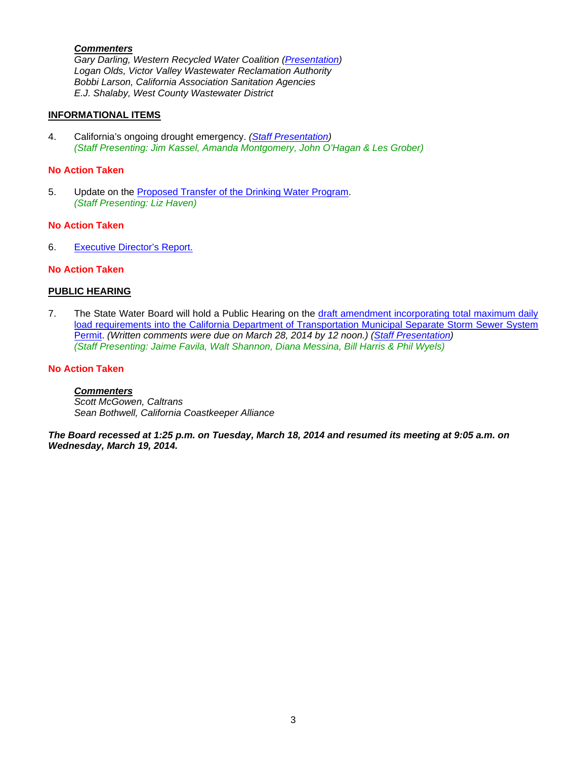## *Commenters*

*Gary Darling, Western Recycled Water Coalition [\(Presentation\)](http://www.waterboards.ca.gov/board_info/minutes/2014/mar/031814_3_darling.pdf) Logan Olds, Victor Valley Wastewater Reclamation Authority Bobbi Larson, California Association Sanitation Agencies E.J. Shalaby, West County Wastewater District*

### **INFORMATIONAL ITEMS**

4. California's ongoing drought emergency. *[\(Staff Presentation\)](http://www.waterboards.ca.gov/board_info/minutes/2014/mar/031814_4_staff.pdf) (Staff Presenting: Jim Kassel, Amanda Montgomery, John O'Hagan & Les Grober)*

#### **No Action Taken**

5. Update on the [Proposed Transfer of the Drinking Water Program.](http://www.waterboards.ca.gov/board_info/agendas/2014/mar/031814_5.pdf) *(Staff Presenting: Liz Haven)*

#### **No Action Taken**

6. [Executive Director's Report.](http://www.waterboards.ca.gov/board_info/exec_dir_rpts/2014/edrpt031814.pdf)

## **No Action Taken**

### **PUBLIC HEARING**

7. The State Water Board will hold a Public Hearing on the [draft amendment incorporating total maximum daily](http://www.waterboards.ca.gov/board_info/agendas/2014/mar/031814_7.pdf)  [load requirements into the California Department of Transportation Municipal Separate Storm Sewer System](http://www.waterboards.ca.gov/board_info/agendas/2014/mar/031814_7.pdf)  [Permit.](http://www.waterboards.ca.gov/board_info/agendas/2014/mar/031814_7.pdf) *(Written comments were due on March 28, 2014 by 12 noon.) [\(Staff Presentation\)](http://www.waterboards.ca.gov/board_info/minutes/2014/mar/031814_7_staff.pdf) (Staff Presenting: Jaime Favila, Walt Shannon, Diana Messina, Bill Harris & Phil Wyels)* 

#### **No Action Taken**

### *Commenters*

*Scott McGowen, Caltrans Sean Bothwell, California Coastkeeper Alliance*

*The Board recessed at 1:25 p.m. on Tuesday, March 18, 2014 and resumed its meeting at 9:05 a.m. on Wednesday, March 19, 2014.*